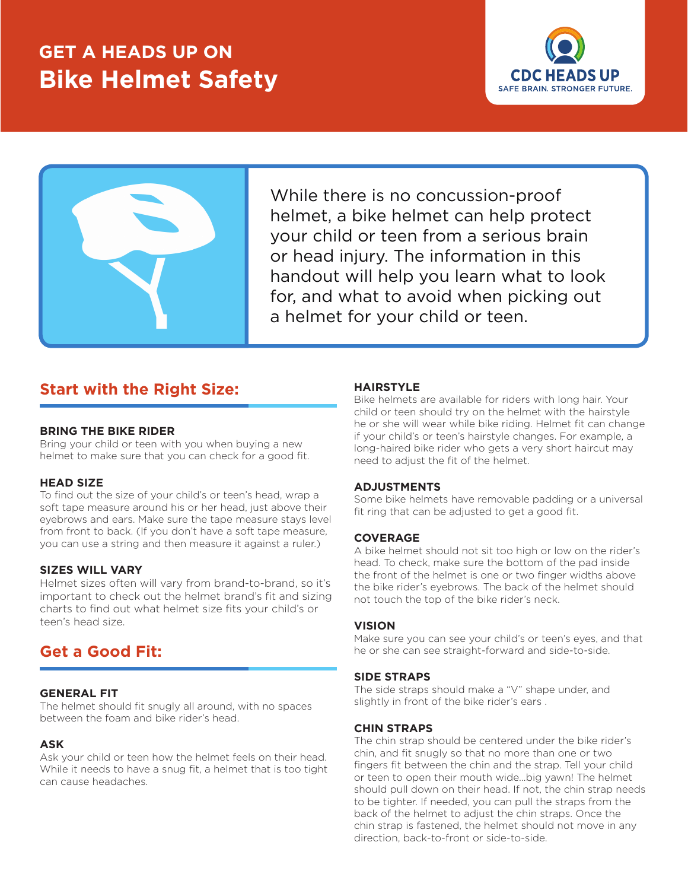# **GET A HEADS UP ON Bike Helmet Safety**





While there is no concussion-proof helmet, a bike helmet can help protect your child or teen from a serious brain or head injury. The information in this handout will help you learn what to look for, and what to avoid when picking out a helmet for your child or teen.

# **Start with the Right Size:**

### **BRING THE BIKE RIDER**

Bring your child or teen with you when buying a new helmet to make sure that you can check for a good fit.

### **HEAD SIZE**

To find out the size of your child's or teen's head, wrap a soft tape measure around his or her head, just above their eyebrows and ears. Make sure the tape measure stays level from front to back. (If you don't have a soft tape measure, you can use a string and then measure it against a ruler.)

### **SIZES WILL VARY**

Helmet sizes often will vary from brand-to-brand, so it's important to check out the helmet brand's fit and sizing charts to find out what helmet size fits your child's or teen's head size.

# **Get a Good Fit:**

### **GENERAL FIT**

The helmet should fit snugly all around, with no spaces between the foam and bike rider's head.

### **ASK**

Ask your child or teen how the helmet feels on their head. While it needs to have a snug fit, a helmet that is too tight can cause headaches.

### **HAIRSTYLE**

Bike helmets are available for riders with long hair. Your child or teen should try on the helmet with the hairstyle he or she will wear while bike riding. Helmet fit can change if your child's or teen's hairstyle changes. For example, a long-haired bike rider who gets a very short haircut may need to adjust the fit of the helmet.

### **ADJUSTMENTS**

Some bike helmets have removable padding or a universal fit ring that can be adjusted to get a good fit.

### **COVERAGE**

A bike helmet should not sit too high or low on the rider's head. To check, make sure the bottom of the pad inside the front of the helmet is one or two finger widths above the bike rider's eyebrows. The back of the helmet should not touch the top of the bike rider's neck.

### **VISION**

Make sure you can see your child's or teen's eyes, and that he or she can see straight-forward and side-to-side.

### **SIDE STRAPS**

The side straps should make a "V" shape under, and slightly in front of the bike rider's ears .

### **CHIN STRAPS**

The chin strap should be centered under the bike rider's chin, and fit snugly so that no more than one or two fingers fit between the chin and the strap. Tell your child or teen to open their mouth wide…big yawn! The helmet should pull down on their head. If not, the chin strap needs to be tighter. If needed, you can pull the straps from the back of the helmet to adjust the chin straps. Once the chin strap is fastened, the helmet should not move in any direction, back-to-front or side-to-side.